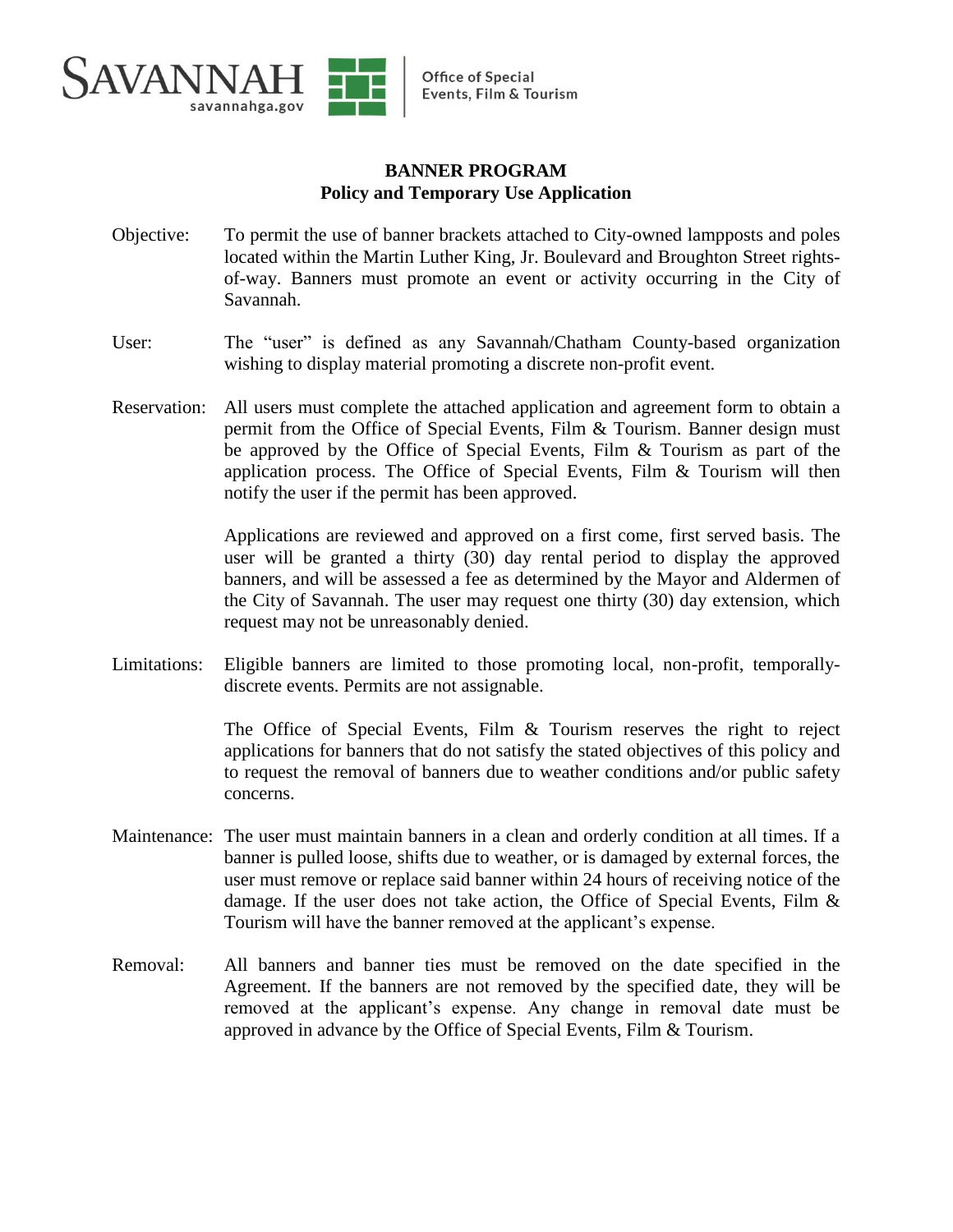

## **BANNER PROGRAM Policy and Temporary Use Application**

- Objective: To permit the use of banner brackets attached to City-owned lampposts and poles located within the Martin Luther King, Jr. Boulevard and Broughton Street rightsof-way. Banners must promote an event or activity occurring in the City of Savannah.
- User: The "user" is defined as any Savannah/Chatham County-based organization wishing to display material promoting a discrete non-profit event.
- Reservation: All users must complete the attached application and agreement form to obtain a permit from the Office of Special Events, Film & Tourism. Banner design must be approved by the Office of Special Events, Film & Tourism as part of the application process. The Office of Special Events, Film & Tourism will then notify the user if the permit has been approved.

Applications are reviewed and approved on a first come, first served basis. The user will be granted a thirty (30) day rental period to display the approved banners, and will be assessed a fee as determined by the Mayor and Aldermen of the City of Savannah. The user may request one thirty (30) day extension, which request may not be unreasonably denied.

Limitations: Eligible banners are limited to those promoting local, non-profit, temporallydiscrete events. Permits are not assignable.

> The Office of Special Events, Film & Tourism reserves the right to reject applications for banners that do not satisfy the stated objectives of this policy and to request the removal of banners due to weather conditions and/or public safety concerns.

- Maintenance: The user must maintain banners in a clean and orderly condition at all times. If a banner is pulled loose, shifts due to weather, or is damaged by external forces, the user must remove or replace said banner within 24 hours of receiving notice of the damage. If the user does not take action, the Office of Special Events, Film & Tourism will have the banner removed at the applicant's expense.
- Removal: All banners and banner ties must be removed on the date specified in the Agreement. If the banners are not removed by the specified date, they will be removed at the applicant's expense. Any change in removal date must be approved in advance by the Office of Special Events, Film & Tourism.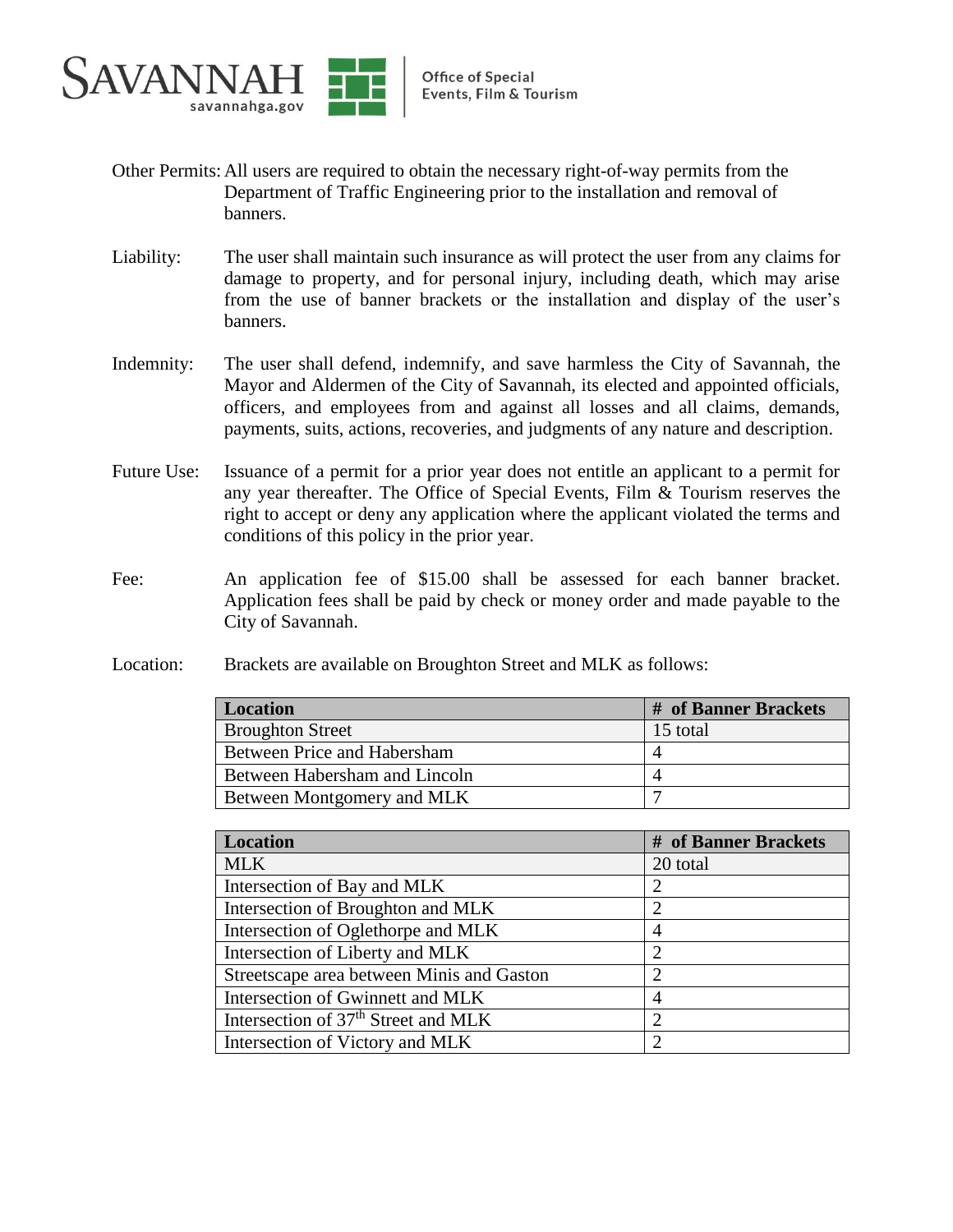

- Other Permits:All users are required to obtain the necessary right-of-way permits from the Department of Traffic Engineering prior to the installation and removal of banners.
- Liability: The user shall maintain such insurance as will protect the user from any claims for damage to property, and for personal injury, including death, which may arise from the use of banner brackets or the installation and display of the user's banners.
- Indemnity: The user shall defend, indemnify, and save harmless the City of Savannah, the Mayor and Aldermen of the City of Savannah, its elected and appointed officials, officers, and employees from and against all losses and all claims, demands, payments, suits, actions, recoveries, and judgments of any nature and description.
- Future Use: Issuance of a permit for a prior year does not entitle an applicant to a permit for any year thereafter. The Office of Special Events, Film & Tourism reserves the right to accept or deny any application where the applicant violated the terms and conditions of this policy in the prior year.
- Fee: An application fee of \$15.00 shall be assessed for each banner bracket. Application fees shall be paid by check or money order and made payable to the City of Savannah.
- Location: Brackets are available on Broughton Street and MLK as follows:

| <b>Location</b>               | # of Banner Brackets |
|-------------------------------|----------------------|
| <b>Broughton Street</b>       | 15 total             |
| Between Price and Habersham   |                      |
| Between Habersham and Lincoln |                      |
| Between Montgomery and MLK    |                      |

| <b>Location</b>                                 | # of Banner Brackets        |
|-------------------------------------------------|-----------------------------|
| <b>MLK</b>                                      | 20 total                    |
| Intersection of Bay and MLK                     | $\mathcal{D}_{\mathcal{L}}$ |
| Intersection of Broughton and MLK               | 2                           |
| Intersection of Oglethorpe and MLK              | 4                           |
| Intersection of Liberty and MLK                 | $\mathcal{D}_{\mathcal{L}}$ |
| Streetscape area between Minis and Gaston       | $\mathcal{D}_{\mathcal{L}}$ |
| Intersection of Gwinnett and MLK                | $\overline{4}$              |
| Intersection of 37 <sup>th</sup> Street and MLK | 2                           |
| Intersection of Victory and MLK                 | っ                           |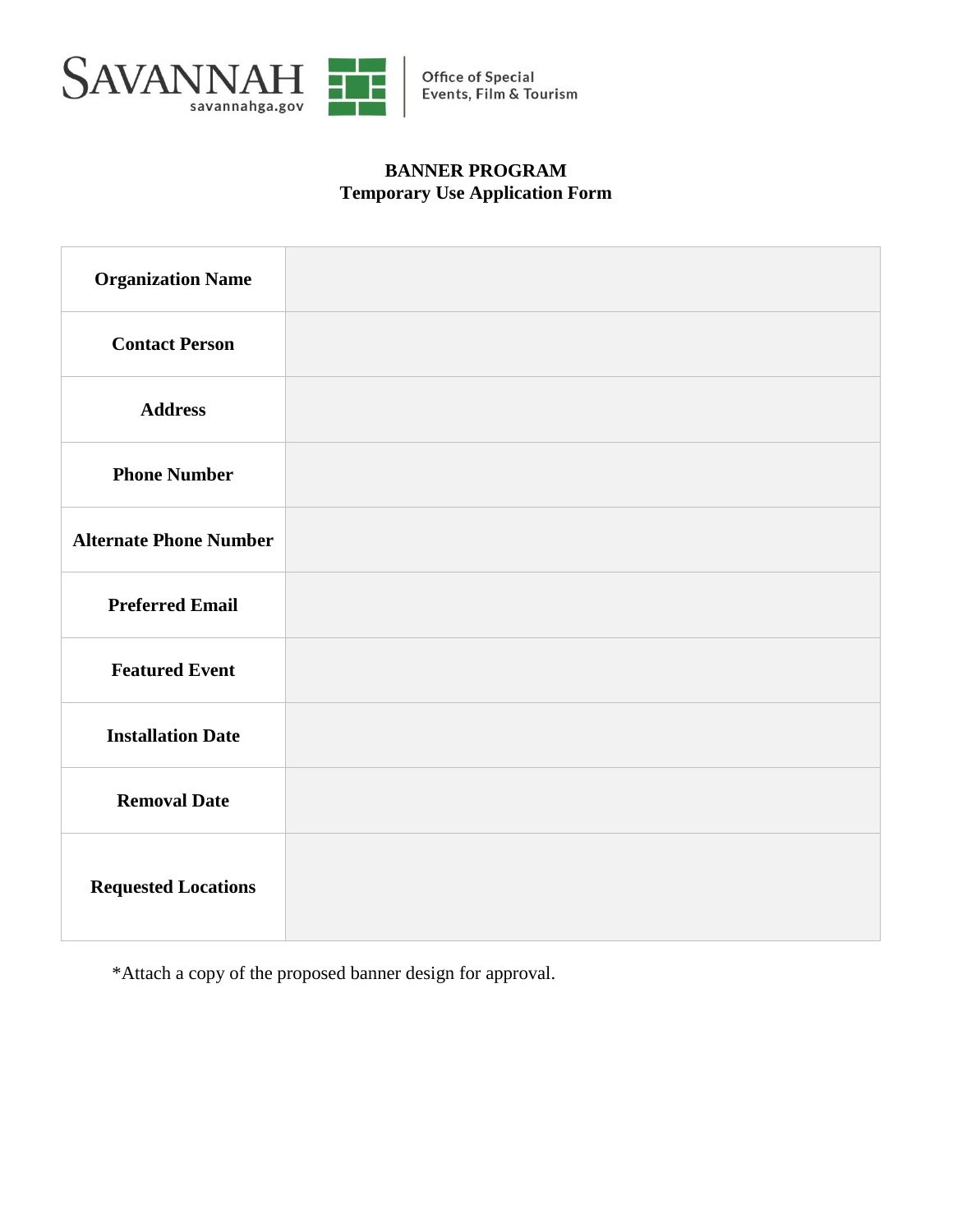

## **BANNER PROGRAM Temporary Use Application Form**

| <b>Organization Name</b>      |  |
|-------------------------------|--|
| <b>Contact Person</b>         |  |
| <b>Address</b>                |  |
| <b>Phone Number</b>           |  |
| <b>Alternate Phone Number</b> |  |
| <b>Preferred Email</b>        |  |
| <b>Featured Event</b>         |  |
| <b>Installation Date</b>      |  |
| <b>Removal Date</b>           |  |
| <b>Requested Locations</b>    |  |

\*Attach a copy of the proposed banner design for approval.